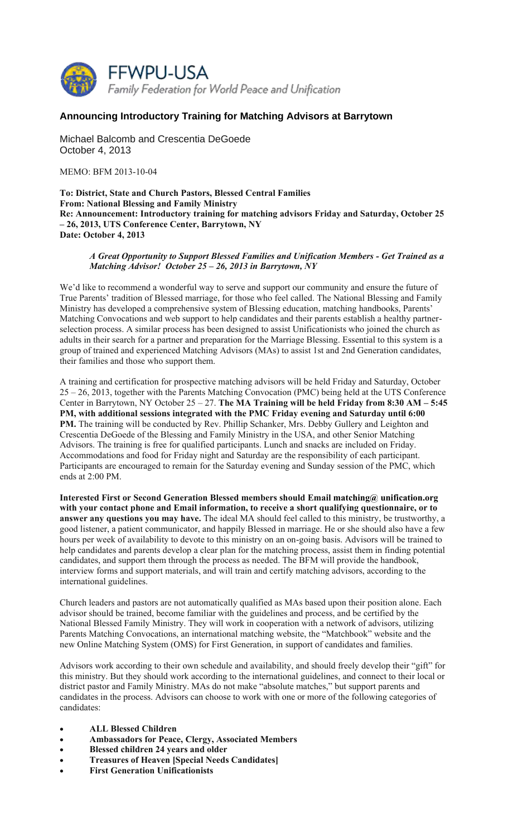

## **Announcing Introductory Training for Matching Advisors at Barrytown**

Michael Balcomb and Crescentia DeGoede October 4, 2013

MEMO: BFM 2013-10-04

**To: District, State and Church Pastors, Blessed Central Families From: National Blessing and Family Ministry Re: Announcement: Introductory training for matching advisors Friday and Saturday, October 25 – 26, 2013, UTS Conference Center, Barrytown, NY Date: October 4, 2013** 

## *A Great Opportunity to Support Blessed Families and Unification Members - Get Trained as a Matching Advisor! October 25 – 26, 2013 in Barrytown, NY*

We'd like to recommend a wonderful way to serve and support our community and ensure the future of True Parents' tradition of Blessed marriage, for those who feel called. The National Blessing and Family Ministry has developed a comprehensive system of Blessing education, matching handbooks, Parents' Matching Convocations and web support to help candidates and their parents establish a healthy partnerselection process. A similar process has been designed to assist Unificationists who joined the church as adults in their search for a partner and preparation for the Marriage Blessing. Essential to this system is a group of trained and experienced Matching Advisors (MAs) to assist 1st and 2nd Generation candidates, their families and those who support them.

A training and certification for prospective matching advisors will be held Friday and Saturday, October 25 – 26, 2013, together with the Parents Matching Convocation (PMC) being held at the UTS Conference Center in Barrytown, NY October 25 – 27. **The MA Training will be held Friday from 8:30 AM – 5:45 PM, with additional sessions integrated with the PMC Friday evening and Saturday until 6:00 PM.** The training will be conducted by Rev. Phillip Schanker, Mrs. Debby Gullery and Leighton and Crescentia DeGoede of the Blessing and Family Ministry in the USA, and other Senior Matching Advisors. The training is free for qualified participants. Lunch and snacks are included on Friday. Accommodations and food for Friday night and Saturday are the responsibility of each participant. Participants are encouraged to remain for the Saturday evening and Sunday session of the PMC, which ends at 2:00 PM.

**Interested First or Second Generation Blessed members should Email matching@ unification.org with your contact phone and Email information, to receive a short qualifying questionnaire, or to answer any questions you may have.** The ideal MA should feel called to this ministry, be trustworthy, a good listener, a patient communicator, and happily Blessed in marriage. He or she should also have a few hours per week of availability to devote to this ministry on an on-going basis. Advisors will be trained to help candidates and parents develop a clear plan for the matching process, assist them in finding potential candidates, and support them through the process as needed. The BFM will provide the handbook, interview forms and support materials, and will train and certify matching advisors, according to the international guidelines.

Church leaders and pastors are not automatically qualified as MAs based upon their position alone. Each advisor should be trained, become familiar with the guidelines and process, and be certified by the National Blessed Family Ministry. They will work in cooperation with a network of advisors, utilizing Parents Matching Convocations, an international matching website, the "Matchbook" website and the new Online Matching System (OMS) for First Generation, in support of candidates and families.

Advisors work according to their own schedule and availability, and should freely develop their "gift" for this ministry. But they should work according to the international guidelines, and connect to their local or district pastor and Family Ministry. MAs do not make "absolute matches," but support parents and candidates in the process. Advisors can choose to work with one or more of the following categories of candidates:

- **ALL Blessed Children**
- **Ambassadors for Peace, Clergy, Associated Members**
- **Blessed children 24 years and older**
- **Treasures of Heaven [Special Needs Candidates]**
- **First Generation Unificationists**